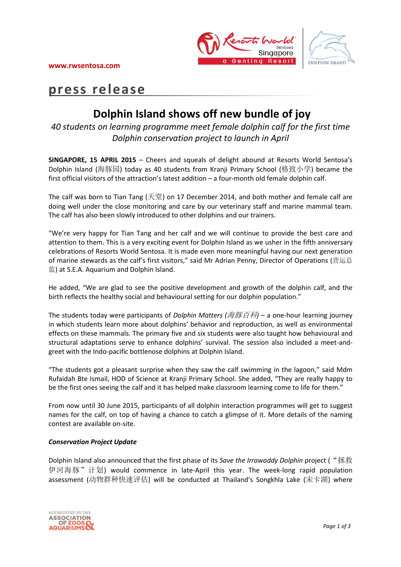



# **press release**

## **Dolphin Island shows off new bundle of joy**

*40 students on learning programme meet female dolphin calf for the first time Dolphin conservation project to launch in April*

**SINGAPORE, 15 APRIL 2015** – Cheers and squeals of delight abound at Resorts World Sentosa's Dolphin Island (海豚园) today as 40 students from Kranji Primary School (格致小学) became the first official visitors of the attraction's latest addition – a four-month old female dolphin calf.

The calf was born to Tian Tang (天堂) on 17 December 2014, and both mother and female calf are doing well under the close monitoring and care by our veterinary staff and marine mammal team. The calf has also been slowly introduced to other dolphins and our trainers.

"We're very happy for Tian Tang and her calf and we will continue to provide the best care and attention to them. This is a very exciting event for Dolphin Island as we usher in the fifth anniversary celebrations of Resorts World Sentosa. It is made even more meaningful having our next generation of marine stewards as the calf's first visitors," said Mr Adrian Penny, Director of Operations (营运总 监) at S.E.A. Aquarium and Dolphin Island.

He added, "We are glad to see the positive development and growth of the dolphin calf, and the birth reflects the healthy social and behavioural setting for our dolphin population."

The students today were participants of *Dolphin Matters (*海豚百科*)* – a one-hour learning journey in which students learn more about dolphins' behavior and reproduction, as well as environmental effects on these mammals. The primary five and six students were also taught how behavioural and structural adaptations serve to enhance dolphins' survival. The session also included a meet-andgreet with the Indo-pacific bottlenose dolphins at Dolphin Island.

"The students got a pleasant surprise when they saw the calf swimming in the lagoon," said Mdm Rufaidah Bte Ismail, HOD of Science at Kranji Primary School. She added, "They are really happy to be the first ones seeing the calf and it has helped make classroom learning come to life for them."

From now until 30 June 2015, participants of all dolphin interaction programmes will get to suggest names for the calf, on top of having a chance to catch a glimpse of it. More details of the naming contest are available on-site.

### *Conservation Project Update*

Dolphin Island also announced that the first phase of its *Save the Irrawaddy Dolphin* project ("拯救 伊河海豚"计划) would commence in late-April this year. The week-long rapid population assessment (动物群种快速评估) will be conducted at Thailand's Songkhla Lake (宋卡湖) where

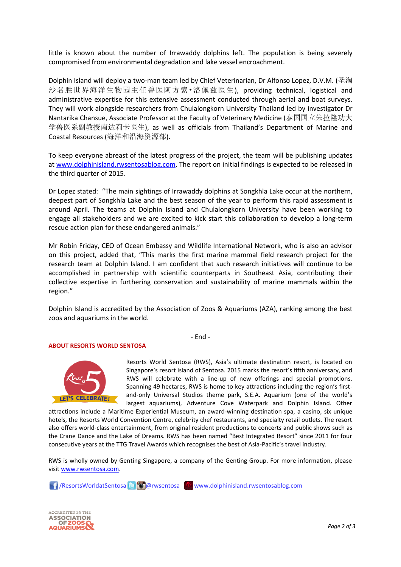little is known about the number of Irrawaddy dolphins left. The population is being severely compromised from environmental degradation and lake vessel encroachment.

Dolphin Island will deploy a two-man team led by Chief Veterinarian, Dr Alfonso Lopez, D.V.M. (圣淘 沙名胜世界海洋生物园主任兽医阿方索•洛佩兹医生), providing technical, logistical and administrative expertise for this extensive assessment conducted through aerial and boat surveys. They will work alongside researchers from Chulalongkorn University Thailand led by investigator Dr Nantarika Chansue, Associate Professor at the Faculty of Veterinary Medicine (泰国国立朱拉隆功大 学兽医系副教授南达莉卡医生), as well as officials from Thailand's Department of Marine and Coastal Resources (海洋和沿海资源部).

To keep everyone abreast of the latest progress of the project, the team will be publishing updates a[t www.dolphinisland.rwsentosablog.com.](http://www.dolphinisland.rwsentosablog.com/) The report on initial findings is expected to be released in the third quarter of 2015.

Dr Lopez stated: "The main sightings of Irrawaddy dolphins at Songkhla Lake occur at the northern, deepest part of Songkhla Lake and the best season of the year to perform this rapid assessment is around April. The teams at Dolphin Island and Chulalongkorn University have been working to engage all stakeholders and we are excited to kick start this collaboration to develop a long-term rescue action plan for these endangered animals."

Mr Robin Friday, CEO of Ocean Embassy and Wildlife International Network, who is also an advisor on this project, added that, "This marks the first marine mammal field research project for the research team at Dolphin Island. I am confident that such research initiatives will continue to be accomplished in partnership with scientific counterparts in Southeast Asia, contributing their collective expertise in furthering conservation and sustainability of marine mammals within the region."

Dolphin Island is accredited by the Association of Zoos & Aquariums (AZA), ranking among the best zoos and aquariums in the world.

- End -

#### **ABOUT RESORTS WORLD SENTOSA**



Resorts World Sentosa (RWS), Asia's ultimate destination resort, is located on Singapore's resort island of Sentosa. 2015 marks the resort's fifth anniversary, and RWS will celebrate with a line-up of new offerings and special promotions. Spanning 49 hectares, RWS is home to key attractions including the region's firstand-only Universal Studios theme park, S.E.A. Aquarium (one of the world's largest aquariums), Adventure Cove Waterpark and Dolphin Island. Other

attractions include a Maritime Experiential Museum, an award-winning destination spa, a casino, six unique hotels, the Resorts World Convention Centre, celebrity chef restaurants, and specialty retail outlets. The resort also offers world-class entertainment, from original resident productions to concerts and public shows such as the Crane Dance and the Lake of Dreams. RWS has been named "Best Integrated Resort" since 2011 for four consecutive years at the TTG Travel Awards which recognises the best of Asia-Pacific's travel industry.

RWS is wholly owned by Genting Singapore, a company of the Genting Group. For more information, please visi[t www.rwsentosa.com.](http://www.rwsentosa.com/)

**16** / ResortsWorldatSentosa **&** *Congr***wsentosa** www.dolphinisland.rwsentosablog.com